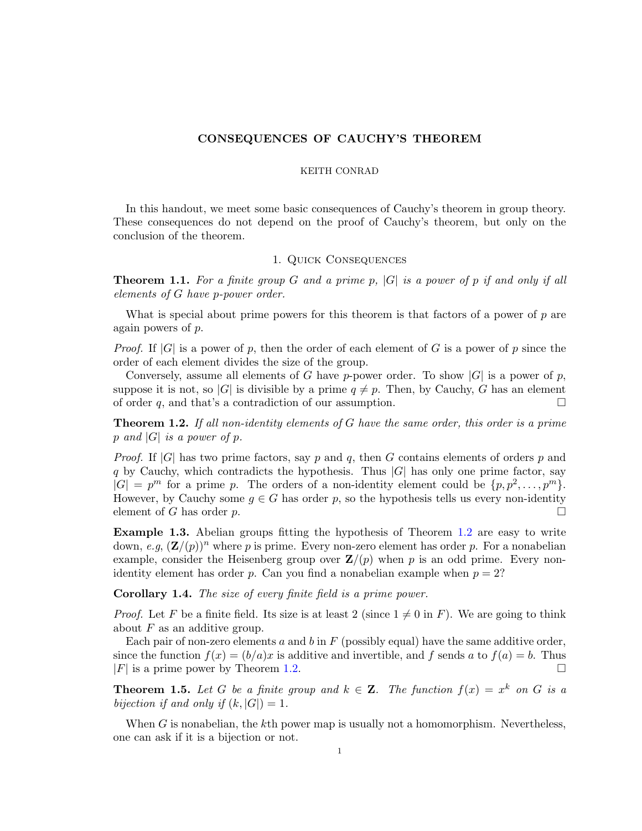# CONSEQUENCES OF CAUCHY'S THEOREM

#### KEITH CONRAD

In this handout, we meet some basic consequences of Cauchy's theorem in group theory. These consequences do not depend on the proof of Cauchy's theorem, but only on the conclusion of the theorem.

## 1. Quick Consequences

**Theorem 1.1.** For a finite group G and a prime p,  $|G|$  is a power of p if and only if all elements of G have p-power order.

What is special about prime powers for this theorem is that factors of a power of  $p$  are again powers of p.

*Proof.* If  $|G|$  is a power of p, then the order of each element of G is a power of p since the order of each element divides the size of the group.

Conversely, assume all elements of G have p-power order. To show |G| is a power of p, suppose it is not, so |G| is divisible by a prime  $q \neq p$ . Then, by Cauchy, G has an element of order q, and that's a contradiction of our assumption.  $\Box$ 

<span id="page-0-0"></span>**Theorem 1.2.** If all non-identity elements of G have the same order, this order is a prime p and  $|G|$  is a power of p.

*Proof.* If  $|G|$  has two prime factors, say p and q, then G contains elements of orders p and q by Cauchy, which contradicts the hypothesis. Thus  $|G|$  has only one prime factor, say  $|G| = p^m$  for a prime p. The orders of a non-identity element could be  $\{p, p^2, \ldots, p^m\}.$ However, by Cauchy some  $q \in G$  has order p, so the hypothesis tells us every non-identity element of G has order p.  $\Box$ 

Example 1.3. Abelian groups fitting the hypothesis of Theorem [1.2](#page-0-0) are easy to write down, e.g,  $(\mathbf{Z}/(p))^n$  where p is prime. Every non-zero element has order p. For a nonabelian example, consider the Heisenberg group over  $\mathbf{Z}/(p)$  when p is an odd prime. Every nonidentity element has order p. Can you find a nonabelian example when  $p = 2$ ?

Corollary 1.4. The size of every finite field is a prime power.

*Proof.* Let F be a finite field. Its size is at least 2 (since  $1 \neq 0$  in F). We are going to think about  $F$  as an additive group.

Each pair of non-zero elements a and b in  $F$  (possibly equal) have the same additive order, since the function  $f(x) = (b/a)x$  is additive and invertible, and f sends a to  $f(a) = b$ . Thus  $|F|$  is a prime power by Theorem [1.2.](#page-0-0)

**Theorem 1.5.** Let G be a finite group and  $k \in \mathbb{Z}$ . The function  $f(x) = x^k$  on G is a bijection if and only if  $(k, |G|) = 1$ .

When  $G$  is nonabelian, the  $k$ th power map is usually not a homomorphism. Nevertheless, one can ask if it is a bijection or not.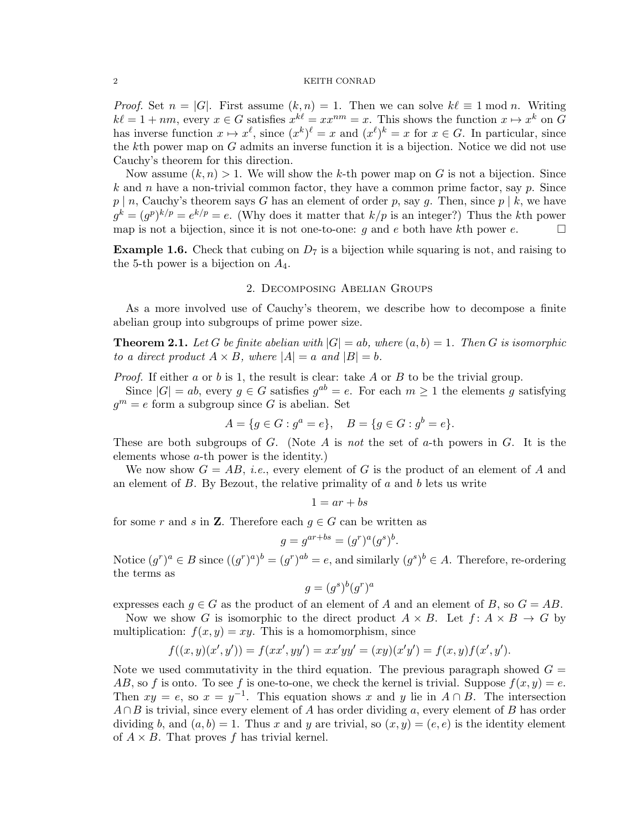#### $\,$  2  $\,$   $\,$  KEITH CONRAD  $\,$

*Proof.* Set  $n = |G|$ . First assume  $(k, n) = 1$ . Then we can solve  $k\ell \equiv 1 \mod n$ . Writing  $k\ell = 1 + nm$ , every  $x \in G$  satisfies  $x^{k\ell} = xx^{nm} = x$ . This shows the function  $x \mapsto x^k$  on G has inverse function  $x \mapsto x^{\ell}$ , since  $(x^k)^{\ell} = x$  and  $(x^{\ell})^k = x$  for  $x \in G$ . In particular, since the kth power map on  $G$  admits an inverse function it is a bijection. Notice we did not use Cauchy's theorem for this direction.

Now assume  $(k, n) > 1$ . We will show the k-th power map on G is not a bijection. Since k and n have a non-trivial common factor, they have a common prime factor, say  $p$ . Since  $p | n$ , Cauchy's theorem says G has an element of order p, say g. Then, since  $p | k$ , we have  $g^k = (g^p)^{k/p} = e^{k/p} = e$ . (Why does it matter that  $k/p$  is an integer?) Thus the kth power map is not a bijection, since it is not one-to-one: q and e both have kth power e.  $\square$ 

**Example 1.6.** Check that cubing on  $D_7$  is a bijection while squaring is not, and raising to the 5-th power is a bijection on  $A_4$ .

### 2. Decomposing Abelian Groups

As a more involved use of Cauchy's theorem, we describe how to decompose a finite abelian group into subgroups of prime power size.

<span id="page-1-0"></span>**Theorem 2.1.** Let G be finite abelian with  $|G| = ab$ , where  $(a, b) = 1$ . Then G is isomorphic to a direct product  $A \times B$ , where  $|A| = a$  and  $|B| = b$ .

*Proof.* If either a or b is 1, the result is clear: take A or B to be the trivial group.

Since  $|G| = ab$ , every  $g \in G$  satisfies  $g^{ab} = e$ . For each  $m \geq 1$  the elements g satisfying  $g^m = e$  form a subgroup since G is abelian. Set

$$
A = \{ g \in G : g^a = e \}, \quad B = \{ g \in G : g^b = e \}.
$$

These are both subgroups of  $G$ . (Note  $A$  is not the set of  $a$ -th powers in  $G$ . It is the elements whose a-th power is the identity.)

We now show  $G = AB$ , *i.e.*, every element of G is the product of an element of A and an element of  $B$ . By Bezout, the relative primality of  $a$  and  $b$  lets us write

$$
1 = ar + bs
$$

for some r and s in **Z**. Therefore each  $g \in G$  can be written as

$$
g = g^{ar+bs} = (g^r)^a (g^s)^b.
$$

Notice  $(g^r)^a \in B$  since  $((g^r)^a)^b = (g^r)^{ab} = e$ , and similarly  $(g^s)^b \in A$ . Therefore, re-ordering the terms as

$$
g = (g^s)^b (g^r)^a
$$

expresses each  $g \in G$  as the product of an element of A and an element of B, so  $G = AB$ .

Now we show G is isomorphic to the direct product  $A \times B$ . Let  $f: A \times B \to G$  by multiplication:  $f(x, y) = xy$ . This is a homomorphism, since

$$
f((x,y)(x',y')) = f(xx', yy') = xx'yy' = (xy)(x'y') = f(x,y)f(x',y').
$$

Note we used commutativity in the third equation. The previous paragraph showed  $G =$ AB, so f is onto. To see f is one-to-one, we check the kernel is trivial. Suppose  $f(x, y) = e$ . Then  $xy = e$ , so  $x = y^{-1}$ . This equation shows x and y lie in  $A \cap B$ . The intersection  $A \cap B$  is trivial, since every element of A has order dividing a, every element of B has order dividing b, and  $(a, b) = 1$ . Thus x and y are trivial, so  $(x, y) = (e, e)$  is the identity element of  $A \times B$ . That proves f has trivial kernel.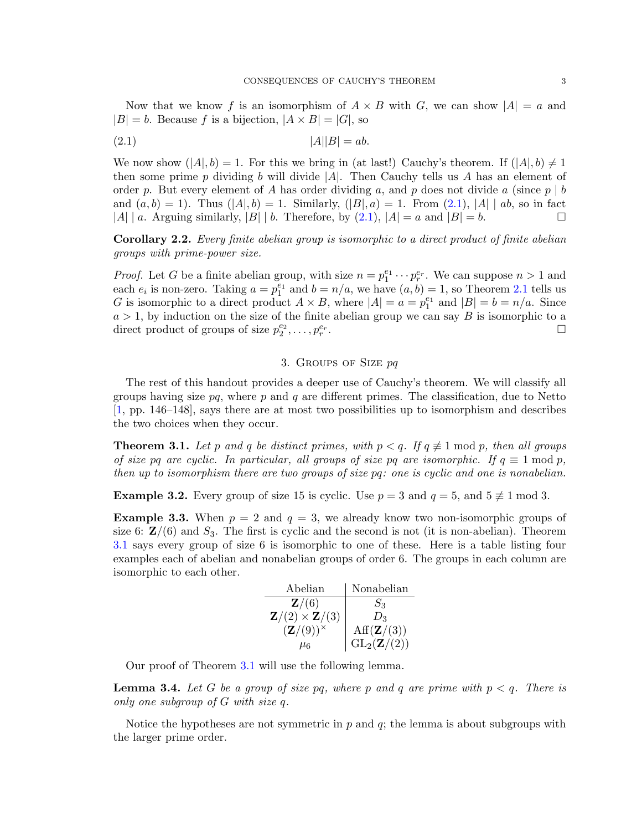Now that we know f is an isomorphism of  $A \times B$  with G, we can show  $|A| = a$  and  $|B| = b$ . Because f is a bijection,  $|A \times B| = |G|$ , so

<span id="page-2-0"></span>
$$
(2.1) \t\t |A||B| = ab.
$$

We now show  $(|A|, b) = 1$ . For this we bring in (at last!) Cauchy's theorem. If  $(|A|, b) \neq 1$ then some prime p dividing b will divide  $|A|$ . Then Cauchy tells us A has an element of order p. But every element of A has order dividing a, and p does not divide a (since  $p \mid b$ and  $(a, b) = 1$ . Thus  $(|A|, b) = 1$ . Similarly,  $(|B|, a) = 1$ . From  $(2.1)$ ,  $|A| | ab$ , so in fact |A| | a. Arguing similarly,  $|B|$  | b. Therefore, by [\(2.1\)](#page-2-0),  $|A| = a$  and  $|B| = b$ .

Corollary 2.2. Every finite abelian group is isomorphic to a direct product of finite abelian groups with prime-power size.

*Proof.* Let G be a finite abelian group, with size  $n = p_1^{e_1} \cdots p_r^{e_r}$ . We can suppose  $n > 1$  and each  $e_i$  is non-zero. Taking  $a = p_1^{e_1}$  and  $b = n/a$ , we have  $(a, b) = 1$ , so Theorem [2.1](#page-1-0) tells us G is isomorphic to a direct product  $A \times B$ , where  $|A| = a = p_1^{e_1}$  and  $|B| = b = n/a$ . Since  $a > 1$ , by induction on the size of the finite abelian group we can say B is isomorphic to a direct product of groups of size  $p_2^{e_2}, \ldots, p_r^{e_r}$ . В последните при последните последните при последните последните последните последните последните последните<br>В последните последните последните последните последните последните последните последните последните последнит

## 3. Groups of Size pq

The rest of this handout provides a deeper use of Cauchy's theorem. We will classify all groups having size  $pq$ , where p and q are different primes. The classification, due to Netto [\[1,](#page-7-0) pp. 146–148], says there are at most two possibilities up to isomorphism and describes the two choices when they occur.

<span id="page-2-1"></span>**Theorem 3.1.** Let p and q be distinct primes, with  $p < q$ . If  $q \neq 1 \text{ mod } p$ , then all groups of size pq are cyclic. In particular, all groups of size pq are isomorphic. If  $q \equiv 1 \mod p$ , then up to isomorphism there are two groups of size pq: one is cyclic and one is nonabelian.

**Example 3.2.** Every group of size 15 is cyclic. Use  $p = 3$  and  $q = 5$ , and  $5 \not\equiv 1 \mod 3$ .

**Example 3.3.** When  $p = 2$  and  $q = 3$ , we already know two non-isomorphic groups of size 6:  $\mathbb{Z}/(6)$  and  $S_3$ . The first is cyclic and the second is not (it is non-abelian). Theorem [3.1](#page-2-1) says every group of size 6 is isomorphic to one of these. Here is a table listing four examples each of abelian and nonabelian groups of order 6. The groups in each column are isomorphic to each other.

| Abelian                                | Nonabelian                                                    |
|----------------------------------------|---------------------------------------------------------------|
| $\mathbf{Z}/(6)$                       | $S_3$                                                         |
| $\mathbf{Z}/(2) \times \mathbf{Z}/(3)$ | $D_3$                                                         |
| $(\mathbf{Z}/(9))^{\times}$            |                                                               |
| Mб                                     | $\mathrm{Aff}(\mathbf{Z}/(3))\ \mathrm{GL}_2(\mathbf{Z}/(2))$ |

Our proof of Theorem [3.1](#page-2-1) will use the following lemma.

<span id="page-2-2"></span>**Lemma 3.4.** Let G be a group of size pq, where p and q are prime with  $p < q$ . There is only one subgroup of G with size q.

Notice the hypotheses are not symmetric in  $p$  and  $q$ ; the lemma is about subgroups with the larger prime order.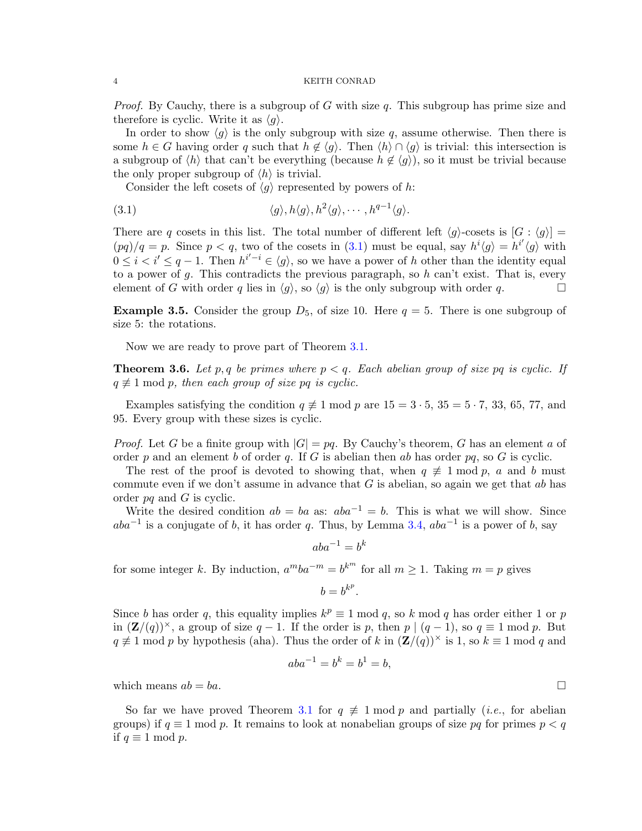#### 4 KEITH CONRAD

*Proof.* By Cauchy, there is a subgroup of G with size q. This subgroup has prime size and therefore is cyclic. Write it as  $\langle q \rangle$ .

In order to show  $\langle g \rangle$  is the only subgroup with size q, assume otherwise. Then there is some  $h \in G$  having order q such that  $h \notin \langle g \rangle$ . Then  $\langle h \rangle \cap \langle g \rangle$  is trivial: this intersection is a subgroup of  $\langle h \rangle$  that can't be everything (because  $h \notin \langle g \rangle$ ), so it must be trivial because the only proper subgroup of  $\langle h \rangle$  is trivial.

<span id="page-3-0"></span>Consider the left cosets of  $\langle g \rangle$  represented by powers of h:

$$
\langle g \rangle, h \langle g \rangle, h^2 \langle g \rangle, \cdots, h^{q-1} \langle g \rangle.
$$

There are q cosets in this list. The total number of different left  $\langle q \rangle$ -cosets is  $[G : \langle q \rangle] =$  $(pq)/q = p$ . Since  $p < q$ , two of the cosets in [\(3.1\)](#page-3-0) must be equal, say  $h^{i}(q) = h^{i'}(q)$  with  $0 \leq i \leq j' \leq q-1$ . Then  $h^{i'-i} \in \langle g \rangle$ , so we have a power of h other than the identity equal to a power of  $q$ . This contradicts the previous paragraph, so h can't exist. That is, every element of G with order q lies in  $\langle g \rangle$ , so  $\langle g \rangle$  is the only subgroup with order q.

**Example 3.5.** Consider the group  $D_5$ , of size 10. Here  $q = 5$ . There is one subgroup of size 5: the rotations.

Now we are ready to prove part of Theorem [3.1.](#page-2-1)

**Theorem 3.6.** Let p, q be primes where  $p < q$ . Each abelian group of size pq is cyclic. If  $q \not\equiv 1 \bmod p$ , then each group of size pq is cyclic.

Examples satisfying the condition  $q \neq 1$  mod p are  $15 = 3 \cdot 5$ ,  $35 = 5 \cdot 7$ ,  $33$ ,  $65$ ,  $77$ , and 95. Every group with these sizes is cyclic.

*Proof.* Let G be a finite group with  $|G| = pq$ . By Cauchy's theorem, G has an element a of order p and an element b of order q. If G is abelian then ab has order pq, so G is cyclic.

The rest of the proof is devoted to showing that, when  $q \neq 1 \mod p$ , a and b must commute even if we don't assume in advance that  $G$  is abelian, so again we get that  $ab$  has order pq and G is cyclic.

Write the desired condition  $ab = ba$  as:  $aba^{-1} = b$ . This is what we will show. Since  $aba^{-1}$  is a conjugate of b, it has order q. Thus, by Lemma [3.4,](#page-2-2)  $aba^{-1}$  is a power of b, say

$$
aba^{-1} = b^k
$$

for some integer k. By induction,  $a^mba^{-m} = b^{k^m}$  for all  $m \ge 1$ . Taking  $m = p$  gives

$$
b=b^{k^p}.
$$

Since b has order q, this equality implies  $k^p \equiv 1 \mod q$ , so k mod q has order either 1 or p in  $(\mathbf{Z}/(q))^{\times}$ , a group of size  $q-1$ . If the order is p, then  $p \mid (q-1)$ , so  $q \equiv 1 \mod p$ . But  $q \not\equiv 1 \mod p$  by hypothesis (aha). Thus the order of k in  $(\mathbf{Z}/(q))^{\times}$  is 1, so  $k \equiv 1 \mod q$  and

$$
aba^{-1} = b^k = b^1 = b,
$$

which means  $ab = ba$ .

So far we have proved Theorem [3.1](#page-2-1) for  $q \neq 1 \mod p$  and partially (*i.e.*, for abelian groups) if  $q \equiv 1 \mod p$ . It remains to look at nonabelian groups of size pq for primes  $p < q$ if  $q \equiv 1 \mod p$ .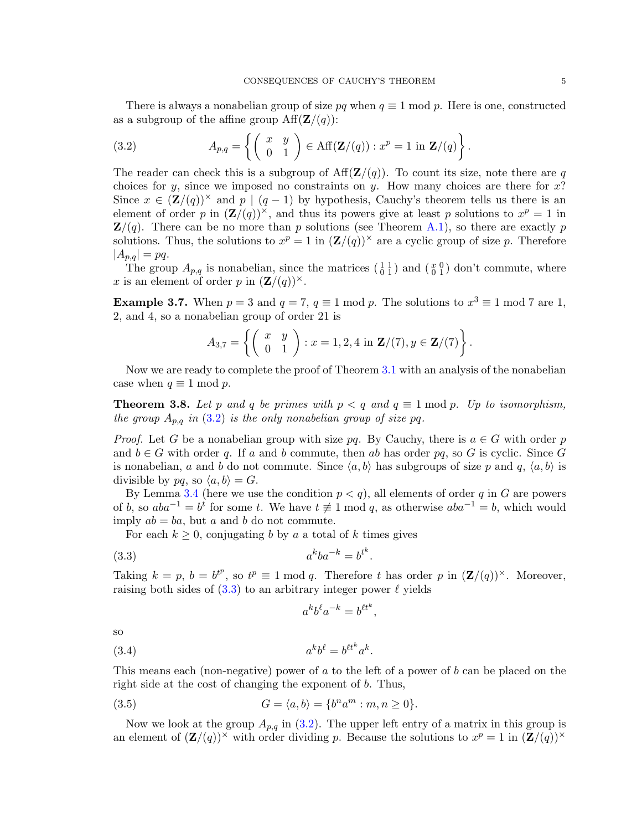There is always a nonabelian group of size pq when  $q \equiv 1 \mod p$ . Here is one, constructed as a subgroup of the affine group  $\text{Aff}(\mathbf{Z}/(q))$ :

<span id="page-4-0"></span>(3.2) 
$$
A_{p,q} = \left\{ \begin{pmatrix} x & y \\ 0 & 1 \end{pmatrix} \in \text{Aff}(\mathbf{Z}/(q)) : x^p = 1 \text{ in } \mathbf{Z}/(q) \right\}.
$$

The reader can check this is a subgroup of  $\text{Aff}(\mathbf{Z}/(q))$ . To count its size, note there are q choices for y, since we imposed no constraints on y. How many choices are there for  $x$ ? Since  $x \in (\mathbf{Z}/(q))^{\times}$  and  $p \mid (q-1)$  by hypothesis, Cauchy's theorem tells us there is an element of order p in  $(\mathbf{Z}/(q))^{\times}$ , and thus its powers give at least p solutions to  $x^p = 1$  in  $\mathbf{Z}/(q)$ . There can be no more than p solutions (see Theorem [A.1\)](#page-6-0), so there are exactly p solutions. Thus, the solutions to  $x^p = 1$  in  $(\mathbf{Z}/(q))^{\times}$  are a cyclic group of size p. Therefore  $|A_{p,q}| = pq.$ 

The group  $A_{p,q}$  is nonabelian, since the matrices  $\begin{pmatrix} 1 & 1 \\ 0 & 1 \end{pmatrix}$  and  $\begin{pmatrix} x & 0 \\ 0 & 1 \end{pmatrix}$  don't commute, where x is an element of order p in  $(\mathbf{Z}/(q))^{\times}$ .

**Example 3.7.** When  $p = 3$  and  $q = 7$ ,  $q \equiv 1 \mod p$ . The solutions to  $x^3 \equiv 1 \mod 7$  are 1, 2, and 4, so a nonabelian group of order 21 is

$$
A_{3,7} = \left\{ \left( \begin{array}{cc} x & y \\ 0 & 1 \end{array} \right) : x = 1, 2, 4 \text{ in } \mathbf{Z}/(7), y \in \mathbf{Z}/(7) \right\}.
$$

Now we are ready to complete the proof of Theorem [3.1](#page-2-1) with an analysis of the nonabelian case when  $q \equiv 1 \mod p$ .

<span id="page-4-4"></span>**Theorem 3.8.** Let p and q be primes with  $p < q$  and  $q \equiv 1 \mod p$ . Up to isomorphism, the group  $A_{p,q}$  in (3.[2\)](#page-4-0) is the only nonabelian group of size pq.

*Proof.* Let G be a nonabelian group with size pq. By Cauchy, there is  $a \in G$  with order p and  $b \in G$  with order q. If a and b commute, then ab has order pq, so G is cyclic. Since G is nonabelian, a and b do not commute. Since  $\langle a, b \rangle$  has subgroups of size p and q,  $\langle a, b \rangle$  is divisible by pq, so  $\langle a, b \rangle = G$ .

By Lemma [3.4](#page-2-2) (here we use the condition  $p < q$ ), all elements of order q in G are powers of b, so  $aba^{-1} = b^t$  for some t. We have  $t \neq 1 \mod q$ , as otherwise  $aba^{-1} = b$ , which would imply  $ab = ba$ , but a and b do not commute.

For each  $k \geq 0$ , conjugating b by a a total of k times gives

$$
(3.3) \t akba-k = btk.
$$

Taking  $k = p$ ,  $b = b^{t^p}$ , so  $t^p \equiv 1 \mod q$ . Therefore t has order p in  $(\mathbf{Z}/(q))^{\times}$ . Moreover, raising both sides of  $(3.3)$  to an arbitrary integer power  $\ell$  yields

<span id="page-4-3"></span><span id="page-4-2"></span><span id="page-4-1"></span>
$$
a^k b^\ell a^{-k} = b^{\ell t^k},
$$

so

$$
(3.4) \t\t akbl = bl tkak.
$$

This means each (non-negative) power of a to the left of a power of b can be placed on the right side at the cost of changing the exponent of b. Thus,

(3.5) 
$$
G = \langle a, b \rangle = \{b^n a^m : m, n \ge 0\}.
$$

Now we look at the group  $A_{p,q}$  in [\(3.2\)](#page-4-0). The upper left entry of a matrix in this group is an element of  $(\mathbf{Z}/(q))^{\times}$  with order dividing p. Because the solutions to  $x^p = 1$  in  $(\mathbf{Z}/(q))^{\times}$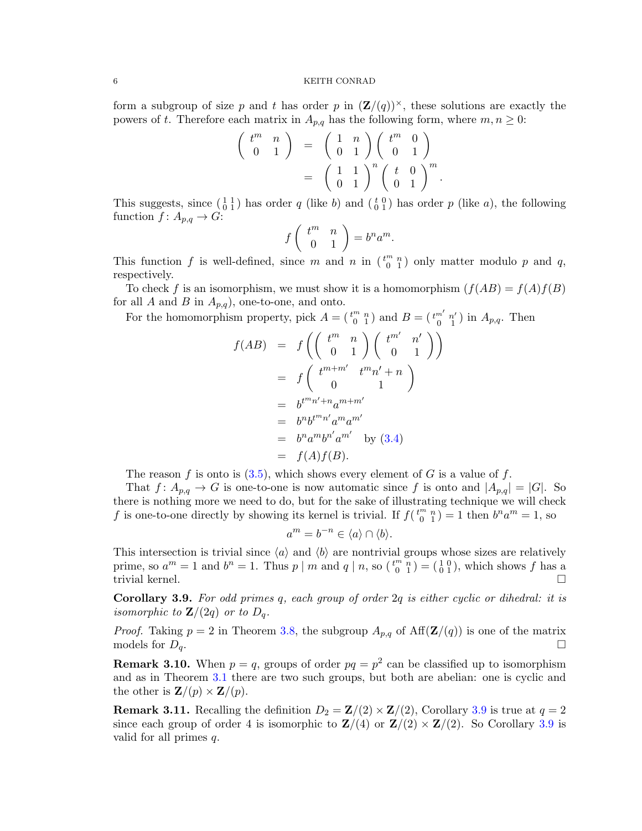#### 6 KEITH CONRAD

form a subgroup of size p and t has order p in  $(\mathbf{Z}/(q))^{\times}$ , these solutions are exactly the powers of t. Therefore each matrix in  $A_{p,q}$  has the following form, where  $m, n \geq 0$ :

$$
\begin{pmatrix} t^m & n \\ 0 & 1 \end{pmatrix} = \begin{pmatrix} 1 & n \\ 0 & 1 \end{pmatrix} \begin{pmatrix} t^m & 0 \\ 0 & 1 \end{pmatrix}
$$

$$
= \begin{pmatrix} 1 & 1 \\ 0 & 1 \end{pmatrix}^n \begin{pmatrix} t & 0 \\ 0 & 1 \end{pmatrix}^m
$$

.

This suggests, since  $\begin{pmatrix} 1 & 1 \\ 0 & 1 \end{pmatrix}$  has order q (like b) and  $\begin{pmatrix} t & 0 \\ 0 & 1 \end{pmatrix}$  has order p (like a), the following function  $f: A_{p,q} \to G$ :

$$
f\left(\begin{array}{cc} t^m & n \\ 0 & 1 \end{array}\right) = b^n a^m.
$$

This function f is well-defined, since m and n in  $\binom{t^m n}{0 \ 1}$  only matter modulo p and q, respectively.

To check f is an isomorphism, we must show it is a homomorphism  $(f(AB) = f(A)f(B))$ for all A and B in  $A_{p,q}$ , one-to-one, and onto.

For the homomorphism property, pick  $A = \begin{pmatrix} t^m & n \\ 0 & 1 \end{pmatrix}$  and  $B = \begin{pmatrix} t^{m'} & n' \\ 0 & 1 \end{pmatrix}$  in  $A_{p,q}$ . Then

$$
f(AB) = f\left(\begin{pmatrix} t^m & n \\ 0 & 1 \end{pmatrix} \begin{pmatrix} t^{m'} & n' \\ 0 & 1 \end{pmatrix}\right)
$$
  
=  $f\left(\begin{pmatrix} t^{m+m'} & t^m n' + n \\ 0 & 1 \end{pmatrix}\right)$   
=  $b^{t^m n' + n} a^{m+m'}$   
=  $b^n b^{t^m n'} a^m a^{m'}$   
=  $b^n a^m b^{n'} a^{m'}$  by (3.4)  
=  $f(A)f(B)$ .

The reason f is onto is  $(3.5)$ , which shows every element of G is a value of f.

That  $f: A_{p,q} \to G$  is one-to-one is now automatic since f is onto and  $|A_{p,q}| = |G|$ . So there is nothing more we need to do, but for the sake of illustrating technique we will check f is one-to-one directly by showing its kernel is trivial. If  $f(\begin{pmatrix} t^m & n \\ 0 & 1 \end{pmatrix} = 1$  then  $b^n a^m = 1$ , so

$$
a^m = b^{-n} \in \langle a \rangle \cap \langle b \rangle.
$$

This intersection is trivial since  $\langle a \rangle$  and  $\langle b \rangle$  are nontrivial groups whose sizes are relatively prime, so  $a^m = 1$  and  $b^n = 1$ . Thus  $p \mid m$  and  $q \mid n$ , so  $\binom{t^m - n}{0} = \binom{10}{01}$ , which shows f has a trivial kernel.

<span id="page-5-0"></span>Corollary 3.9. For odd primes q, each group of order 2q is either cyclic or dihedral: it is isomorphic to  $\mathbf{Z}/(2q)$  or to  $D_q$ .

*Proof.* Taking  $p = 2$  in Theorem [3.8,](#page-4-4) the subgroup  $A_{p,q}$  of  $\text{Aff}(\mathbf{Z}/(q))$  is one of the matrix models for  $D_q$ .

**Remark 3.10.** When  $p = q$ , groups of order  $pq = p^2$  can be classified up to isomorphism and as in Theorem [3.1](#page-2-1) there are two such groups, but both are abelian: one is cyclic and the other is  $\mathbf{Z}/(p) \times \mathbf{Z}/(p)$ .

**Remark 3.11.** Recalling the definition  $D_2 = \mathbf{Z}/(2) \times \mathbf{Z}/(2)$ , Corollary [3.9](#page-5-0) is true at  $q = 2$ since each group of order 4 is isomorphic to  $\mathbb{Z}/(4)$  or  $\mathbb{Z}/(2) \times \mathbb{Z}/(2)$ . So Corollary [3.9](#page-5-0) is valid for all primes q.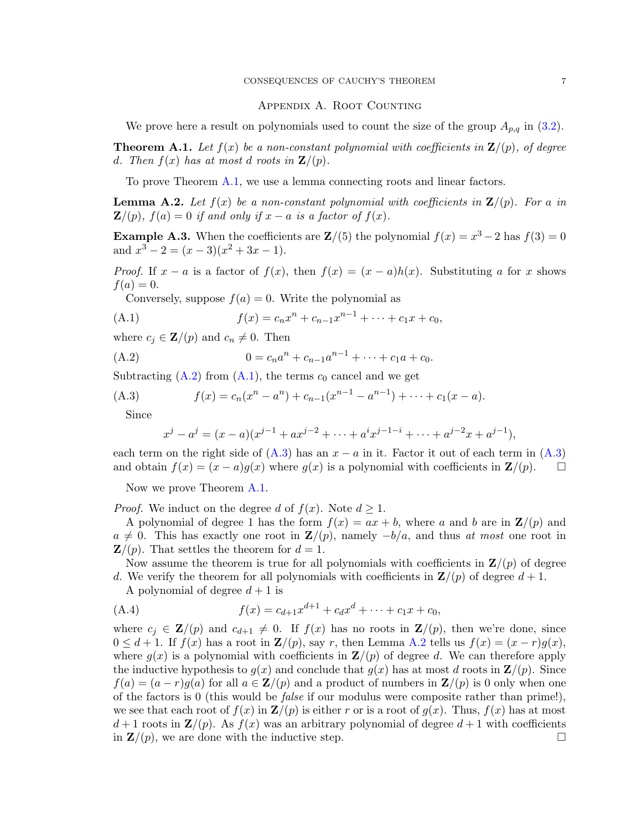#### Appendix A. Root Counting

We prove here a result on polynomials used to count the size of the group  $A_{p,q}$  in [\(3.2\)](#page-4-0).

<span id="page-6-0"></span>**Theorem A.1.** Let  $f(x)$  be a non-constant polynomial with coefficients in  $\mathbf{Z}/(p)$ , of degree d. Then  $f(x)$  has at most d roots in  $\mathbf{Z}/(p)$ .

To prove Theorem [A.1,](#page-6-0) we use a lemma connecting roots and linear factors.

<span id="page-6-4"></span>**Lemma A.2.** Let  $f(x)$  be a non-constant polynomial with coefficients in  $\mathbf{Z}/(p)$ . For a in  $\mathbf{Z}/(p)$ ,  $f(a) = 0$  if and only if  $x - a$  is a factor of  $f(x)$ .

**Example A.3.** When the coefficients are  $\mathbf{Z}/(5)$  the polynomial  $f(x) = x^3 - 2$  has  $f(3) = 0$ and  $x^3 - 2 = (x - 3)(x^2 + 3x - 1)$ .

*Proof.* If  $x - a$  is a factor of  $f(x)$ , then  $f(x) = (x - a)h(x)$ . Substituting a for x shows  $f(a) = 0.$ 

<span id="page-6-2"></span>Conversely, suppose  $f(a) = 0$ . Write the polynomial as

(A.1) 
$$
f(x) = c_n x^n + c_{n-1} x^{n-1} + \dots + c_1 x + c_0,
$$

where  $c_j \in \mathbf{Z}/(p)$  and  $c_n \neq 0$ . Then

(A.2) 
$$
0 = c_n a^n + c_{n-1} a^{n-1} + \dots + c_1 a + c_0.
$$

Subtracting  $(A.2)$  from  $(A.1)$ , the terms  $c_0$  cancel and we get

(A.3) 
$$
f(x) = c_n(x^n - a^n) + c_{n-1}(x^{n-1} - a^{n-1}) + \dots + c_1(x - a).
$$

Since

<span id="page-6-3"></span><span id="page-6-1"></span>
$$
x^{j} - a^{j} = (x - a)(x^{j-1} + ax^{j-2} + \dots + a^{i}x^{j-1-i} + \dots + a^{j-2}x + a^{j-1}),
$$

each term on the right side of  $(A.3)$  has an  $x - a$  in it. Factor it out of each term in  $(A.3)$ and obtain  $f(x) = (x - a)g(x)$  where  $g(x)$  is a polynomial with coefficients in  $\mathbf{Z}/(p)$ .  $\Box$ 

Now we prove Theorem [A.1.](#page-6-0)

*Proof.* We induct on the degree d of  $f(x)$ . Note  $d \geq 1$ .

A polynomial of degree 1 has the form  $f(x) = ax + b$ , where a and b are in  $\mathbf{Z}/(p)$  and  $a \neq 0$ . This has exactly one root in  $\mathbf{Z}/(p)$ , namely  $-b/a$ , and thus at most one root in  $\mathbf{Z}/(p)$ . That settles the theorem for  $d=1$ .

Now assume the theorem is true for all polynomials with coefficients in  $\mathbf{Z}/(p)$  of degree d. We verify the theorem for all polynomials with coefficients in  $\mathbf{Z}/(p)$  of degree  $d+1$ .

A polynomial of degree  $d+1$  is

(A.4) 
$$
f(x) = c_{d+1}x^{d+1} + c_d x^d + \dots + c_1 x + c_0,
$$

where  $c_j \in \mathbf{Z}/(p)$  and  $c_{d+1} \neq 0$ . If  $f(x)$  has no roots in  $\mathbf{Z}/(p)$ , then we're done, since  $0 \leq d+1$ . If  $f(x)$  has a root in  $\mathbf{Z}/(p)$ , say r, then Lemma [A.2](#page-6-4) tells us  $f(x) = (x-r)g(x)$ , where  $g(x)$  is a polynomial with coefficients in  $\mathbf{Z}/(p)$  of degree d. We can therefore apply the inductive hypothesis to  $g(x)$  and conclude that  $g(x)$  has at most d roots in  $\mathbf{Z}/(p)$ . Since  $f(a) = (a - r)g(a)$  for all  $a \in \mathbb{Z}/(p)$  and a product of numbers in  $\mathbb{Z}/(p)$  is 0 only when one of the factors is 0 (this would be false if our modulus were composite rather than prime!), we see that each root of  $f(x)$  in  $\mathbf{Z}/(p)$  is either r or is a root of  $g(x)$ . Thus,  $f(x)$  has at most  $d+1$  roots in  $\mathbf{Z}(p)$ . As  $f(x)$  was an arbitrary polynomial of degree  $d+1$  with coefficients in  $\mathbf{Z}/(p)$ , we are done with the inductive step.